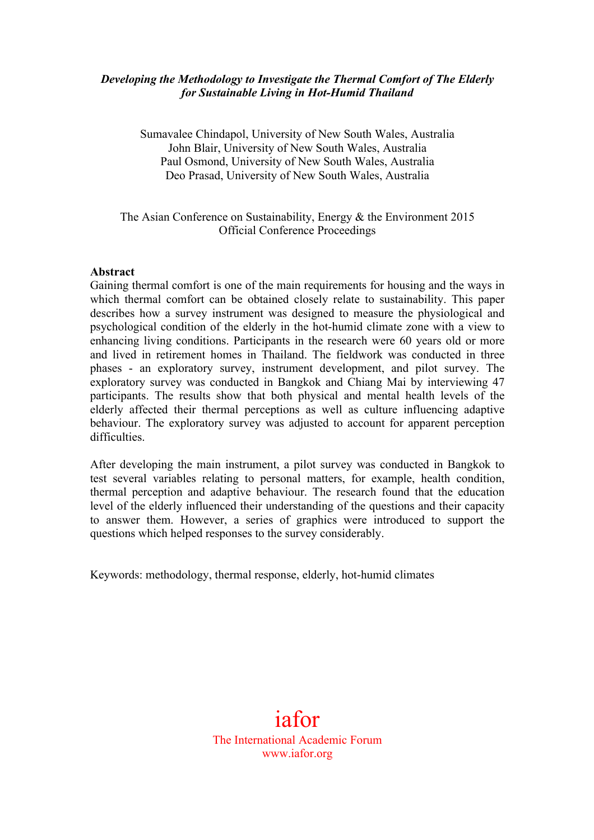## *Developing the Methodology to Investigate the Thermal Comfort of The Elderly for Sustainable Living in Hot-Humid Thailand*

Sumavalee Chindapol, University of New South Wales, Australia John Blair, University of New South Wales, Australia Paul Osmond, University of New South Wales, Australia Deo Prasad, University of New South Wales, Australia

### The Asian Conference on Sustainability, Energy & the Environment 2015 Official Conference Proceedings

### **Abstract**

Gaining thermal comfort is one of the main requirements for housing and the ways in which thermal comfort can be obtained closely relate to sustainability. This paper describes how a survey instrument was designed to measure the physiological and psychological condition of the elderly in the hot-humid climate zone with a view to enhancing living conditions. Participants in the research were 60 years old or more and lived in retirement homes in Thailand. The fieldwork was conducted in three phases - an exploratory survey, instrument development, and pilot survey. The exploratory survey was conducted in Bangkok and Chiang Mai by interviewing 47 participants. The results show that both physical and mental health levels of the elderly affected their thermal perceptions as well as culture influencing adaptive behaviour. The exploratory survey was adjusted to account for apparent perception difficulties.

After developing the main instrument, a pilot survey was conducted in Bangkok to test several variables relating to personal matters, for example, health condition, thermal perception and adaptive behaviour. The research found that the education level of the elderly influenced their understanding of the questions and their capacity to answer them. However, a series of graphics were introduced to support the questions which helped responses to the survey considerably.

Keywords: methodology, thermal response, elderly, hot-humid climates

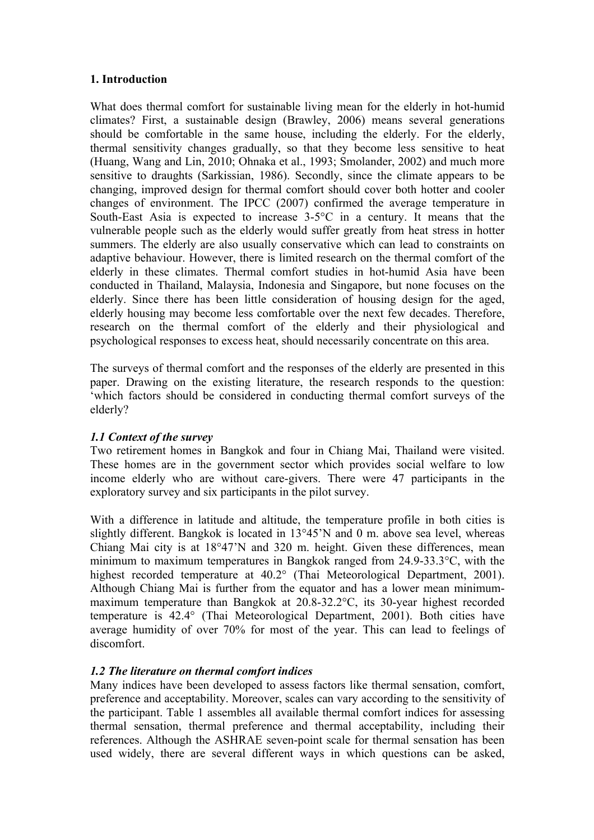## **1. Introduction**

What does thermal comfort for sustainable living mean for the elderly in hot-humid climates? First, a sustainable design (Brawley, 2006) means several generations should be comfortable in the same house, including the elderly. For the elderly, thermal sensitivity changes gradually, so that they become less sensitive to heat (Huang, Wang and Lin, 2010; Ohnaka et al., 1993; Smolander, 2002) and much more sensitive to draughts (Sarkissian, 1986). Secondly, since the climate appears to be changing, improved design for thermal comfort should cover both hotter and cooler changes of environment. The IPCC (2007) confirmed the average temperature in South-East Asia is expected to increase 3-5°C in a century. It means that the vulnerable people such as the elderly would suffer greatly from heat stress in hotter summers. The elderly are also usually conservative which can lead to constraints on adaptive behaviour. However, there is limited research on the thermal comfort of the elderly in these climates. Thermal comfort studies in hot-humid Asia have been conducted in Thailand, Malaysia, Indonesia and Singapore, but none focuses on the elderly. Since there has been little consideration of housing design for the aged, elderly housing may become less comfortable over the next few decades. Therefore, research on the thermal comfort of the elderly and their physiological and psychological responses to excess heat, should necessarily concentrate on this area.

The surveys of thermal comfort and the responses of the elderly are presented in this paper. Drawing on the existing literature, the research responds to the question: 'which factors should be considered in conducting thermal comfort surveys of the elderly?

# *1.1 Context of the survey*

Two retirement homes in Bangkok and four in Chiang Mai, Thailand were visited. These homes are in the government sector which provides social welfare to low income elderly who are without care-givers. There were 47 participants in the exploratory survey and six participants in the pilot survey.

With a difference in latitude and altitude, the temperature profile in both cities is slightly different. Bangkok is located in 13°45'N and 0 m. above sea level, whereas Chiang Mai city is at 18°47'N and 320 m. height. Given these differences, mean minimum to maximum temperatures in Bangkok ranged from 24.9-33.3°C, with the highest recorded temperature at 40.2° (Thai Meteorological Department, 2001). Although Chiang Mai is further from the equator and has a lower mean minimummaximum temperature than Bangkok at 20.8-32.2°C, its 30-year highest recorded temperature is 42.4° (Thai Meteorological Department, 2001). Both cities have average humidity of over 70% for most of the year. This can lead to feelings of discomfort.

# *1.2 The literature on thermal comfort indices*

Many indices have been developed to assess factors like thermal sensation, comfort, preference and acceptability. Moreover, scales can vary according to the sensitivity of the participant. Table 1 assembles all available thermal comfort indices for assessing thermal sensation, thermal preference and thermal acceptability, including their references. Although the ASHRAE seven-point scale for thermal sensation has been used widely, there are several different ways in which questions can be asked,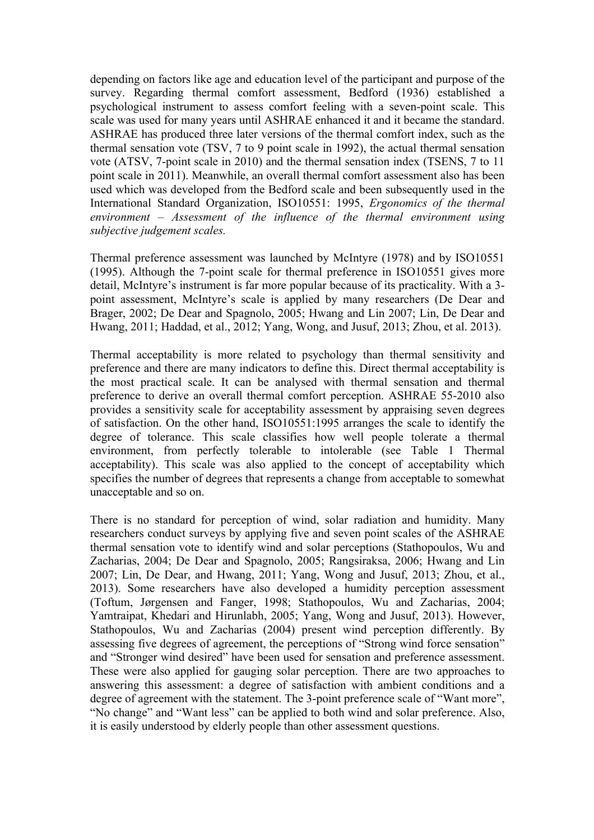depending on factors like age and education level of the participant and purpose of the survey. Regarding thermal comfort assessment, Bedford (1936) established a psychological instrument to assess comfort feeling with a seven-point scale. This scale was used for many years until ASHRAE enhanced it and it became the standard. ASHRAE has produced three later versions of the thermal comfort index, such as the thermal sensation vote (TSV, 7 to 9 point scale in 1992), the actual thermal sensation vote (ATSV, 7-point scale in 2010) and the thermal sensation index (TSENS, 7 to 11 point scale in 2011). Meanwhile, an overall thermal comfort assessment also has been used which was developed from the Bedford scale and been subsequently used in the International Standard Organization, ISO10551: 1995, *Ergonomics of the thermal environment – Assessment of the influence of the thermal environment using subjective judgement scales.* 

Thermal preference assessment was launched by McIntyre (1978) and by ISO10551 (1995). Although the 7-point scale for thermal preference in ISO10551 gives more detail, McIntyre's instrument is far more popular because of its practicality. With a 3 point assessment, McIntyre's scale is applied by many researchers (De Dear and Brager, 2002; De Dear and Spagnolo, 2005; Hwang and Lin 2007; Lin, De Dear and Hwang, 2011; Haddad, et al., 2012; Yang, Wong, and Jusuf, 2013; Zhou, et al. 2013).

Thermal acceptability is more related to psychology than thermal sensitivity and preference and there are many indicators to define this. Direct thermal acceptability is the most practical scale. It can be analysed with thermal sensation and thermal preference to derive an overall thermal comfort perception. ASHRAE 55-2010 also provides a sensitivity scale for acceptability assessment by appraising seven degrees of satisfaction. On the other hand, ISO10551:1995 arranges the scale to identify the degree of tolerance. This scale classifies how well people tolerate a thermal environment, from perfectly tolerable to intolerable (see Table 1 Thermal acceptability). This scale was also applied to the concept of acceptability which specifies the number of degrees that represents a change from acceptable to somewhat unacceptable and so on.

There is no standard for perception of wind, solar radiation and humidity. Many researchers conduct surveys by applying five and seven point scales of the ASHRAE thermal sensation vote to identify wind and solar perceptions (Stathopoulos, Wu and Zacharias, 2004; De Dear and Spagnolo, 2005; Rangsiraksa, 2006; Hwang and Lin 2007; Lin, De Dear, and Hwang, 2011; Yang, Wong and Jusuf, 2013; Zhou, et al., 2013). Some researchers have also developed a humidity perception assessment (Toftum, Jørgensen and Fanger, 1998; Stathopoulos, Wu and Zacharias, 2004; Yamtraipat, Khedari and Hirunlabh, 2005; Yang, Wong and Jusuf, 2013). However, Stathopoulos, Wu and Zacharias (2004) present wind perception differently. By assessing five degrees of agreement, the perceptions of "Strong wind force sensation" and "Stronger wind desired" have been used for sensation and preference assessment. These were also applied for gauging solar perception. There are two approaches to answering this assessment: a degree of satisfaction with ambient conditions and a degree of agreement with the statement. The 3-point preference scale of "Want more", "No change" and "Want less" can be applied to both wind and solar preference. Also, it is easily understood by elderly people than other assessment questions.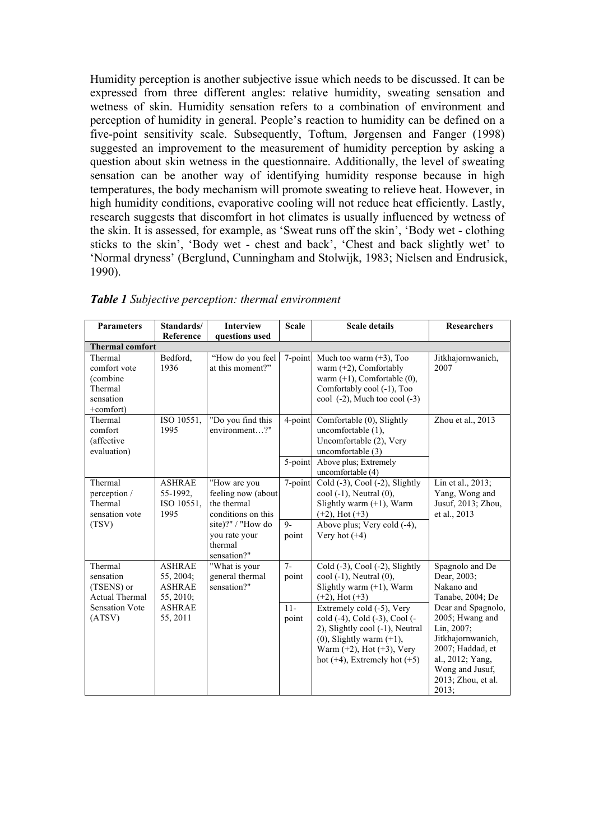Humidity perception is another subjective issue which needs to be discussed. It can be expressed from three different angles: relative humidity, sweating sensation and wetness of skin. Humidity sensation refers to a combination of environment and perception of humidity in general. People's reaction to humidity can be defined on a five-point sensitivity scale. Subsequently, Toftum, Jørgensen and Fanger (1998) suggested an improvement to the measurement of humidity perception by asking a question about skin wetness in the questionnaire. Additionally, the level of sweating sensation can be another way of identifying humidity response because in high temperatures, the body mechanism will promote sweating to relieve heat. However, in high humidity conditions, evaporative cooling will not reduce heat efficiently. Lastly, research suggests that discomfort in hot climates is usually influenced by wetness of the skin. It is assessed, for example, as 'Sweat runs off the skin', 'Body wet - clothing sticks to the skin', 'Body wet - chest and back', 'Chest and back slightly wet' to 'Normal dryness' (Berglund, Cunningham and Stolwijk, 1983; Nielsen and Endrusick, 1990).

| <b>Parameters</b>                                                                              | Standards/                                                                            | <b>Interview</b>                                                                                                                        | <b>Scale</b>                    | <b>Scale details</b>                                                                                                                                                                                                                                                                                                                   | <b>Researchers</b>                                                                                                                                                                                                                     |  |  |
|------------------------------------------------------------------------------------------------|---------------------------------------------------------------------------------------|-----------------------------------------------------------------------------------------------------------------------------------------|---------------------------------|----------------------------------------------------------------------------------------------------------------------------------------------------------------------------------------------------------------------------------------------------------------------------------------------------------------------------------------|----------------------------------------------------------------------------------------------------------------------------------------------------------------------------------------------------------------------------------------|--|--|
|                                                                                                | Reference                                                                             | questions used                                                                                                                          |                                 |                                                                                                                                                                                                                                                                                                                                        |                                                                                                                                                                                                                                        |  |  |
| <b>Thermal comfort</b>                                                                         |                                                                                       |                                                                                                                                         |                                 |                                                                                                                                                                                                                                                                                                                                        |                                                                                                                                                                                                                                        |  |  |
| Thermal<br>comfort vote<br>(combine<br>Thermal<br>sensation<br>+comfort)                       | Bedford.<br>1936                                                                      | "How do you feel<br>at this moment?"                                                                                                    | 7-point                         | Much too warm $(+3)$ , Too<br>warm $(+2)$ , Comfortably<br>warm $(+1)$ , Comfortable $(0)$ ,<br>Comfortably cool (-1), Too<br>cool $(-2)$ , Much too cool $(-3)$                                                                                                                                                                       | Jitkhajornwanich,<br>2007                                                                                                                                                                                                              |  |  |
| Thermal<br>comfort<br>(affective<br>evaluation)                                                | ISO 10551,<br>1995                                                                    | "Do you find this<br>environment?"                                                                                                      | 4-point<br>5-point              | Comfortable (0), Slightly<br>uncomfortable (1),<br>Uncomfortable (2), Very<br>uncomfortable (3)<br>Above plus; Extremely<br>uncomfortable (4)                                                                                                                                                                                          | Zhou et al., 2013                                                                                                                                                                                                                      |  |  |
| Thermal<br>perception /<br>Thermal<br>sensation vote<br>(TSV)                                  | <b>ASHRAE</b><br>55-1992,<br>ISO 10551,<br>1995                                       | "How are you<br>feeling now (about<br>the thermal<br>conditions on this<br>site)?" / "How do<br>you rate your<br>thermal<br>sensation?" | 7-point<br>$Q_{-}$<br>point     | Cold $(-3)$ , Cool $(-2)$ , Slightly<br>$\text{cool}(-1)$ , Neutral $(0)$ ,<br>Slightly warm $(+1)$ , Warm<br>$(+2)$ , Hot $(+3)$<br>Above plus; Very cold (-4),<br>Very hot $(+4)$                                                                                                                                                    | Lin et al., 2013;<br>Yang, Wong and<br>Jusuf, 2013; Zhou,<br>et al., 2013                                                                                                                                                              |  |  |
| Thermal<br>sensation<br>(TSENS) or<br><b>Actual Thermal</b><br><b>Sensation Vote</b><br>(ATSV) | <b>ASHRAE</b><br>55, 2004;<br><b>ASHRAE</b><br>55, 2010;<br><b>ASHRAE</b><br>55, 2011 | "What is your<br>general thermal<br>sensation?"                                                                                         | $7-$<br>point<br>$11-$<br>point | Cold (-3), Cool (-2), Slightly<br>$\text{cool}(-1)$ , Neutral $(0)$ ,<br>Slightly warm $(+1)$ , Warm<br>$(+2)$ , Hot $(+3)$<br>Extremely cold (-5), Very<br>cold (-4), Cold (-3), Cool (-<br>2), Slightly cool (-1), Neutral<br>$(0)$ , Slightly warm $(+1)$ ,<br>Warm $(+2)$ , Hot $(+3)$ , Very<br>hot $(+4)$ , Extremely hot $(+5)$ | Spagnolo and De<br>Dear, 2003;<br>Nakano and<br>Tanabe, 2004; De<br>Dear and Spagnolo,<br>2005; Hwang and<br>Lin, 2007;<br>Jitkhajornwanich,<br>2007; Haddad, et<br>al., 2012; Yang,<br>Wong and Jusuf,<br>2013; Zhou, et al.<br>2013; |  |  |

*Table 1 Subjective perception: thermal environment*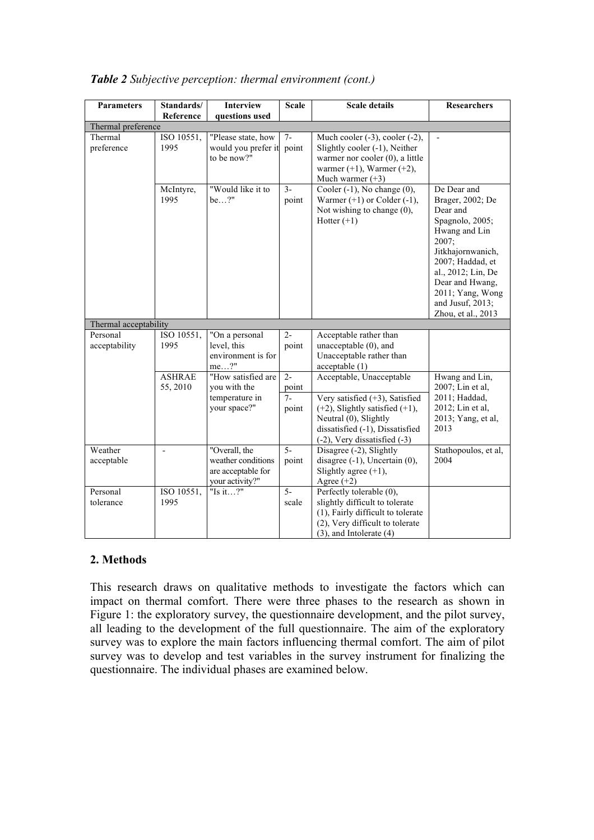| <b>Parameters</b>     | Standards/         | <b>Interview</b>                                                             | <b>Scale</b>            | <b>Scale details</b>                                                                                                                                                       | <b>Researchers</b>                                                                                                                                                                                                                       |
|-----------------------|--------------------|------------------------------------------------------------------------------|-------------------------|----------------------------------------------------------------------------------------------------------------------------------------------------------------------------|------------------------------------------------------------------------------------------------------------------------------------------------------------------------------------------------------------------------------------------|
|                       | Reference          | questions used                                                               |                         |                                                                                                                                                                            |                                                                                                                                                                                                                                          |
| Thermal preference    |                    |                                                                              |                         |                                                                                                                                                                            |                                                                                                                                                                                                                                          |
| Thermal<br>preference | ISO 10551,<br>1995 | "Please state, how<br>would you prefer it<br>to be now?"                     | $7-$<br>point           | Much cooler $(-3)$ , cooler $(-2)$ ,<br>Slightly cooler (-1), Neither<br>warmer nor cooler (0), a little<br>warmer $(+1)$ , Warmer $(+2)$ ,<br>Much warmer $(+3)$          |                                                                                                                                                                                                                                          |
|                       | McIntyre,<br>1995  | "Would like it to<br>be?"                                                    | $3 -$<br>point          | Cooler $(-1)$ , No change $(0)$ ,<br>Warmer $(+1)$ or Colder $(-1)$ ,<br>Not wishing to change (0),<br>Hotter $(+1)$                                                       | De Dear and<br>Brager, 2002; De<br>Dear and<br>Spagnolo, 2005;<br>Hwang and Lin<br>2007;<br>Jitkhajornwanich,<br>2007; Haddad, et<br>al., 2012; Lin, De<br>Dear and Hwang,<br>2011; Yang, Wong<br>and Jusuf, 2013;<br>Zhou, et al., 2013 |
| Thermal acceptability |                    |                                                                              |                         |                                                                                                                                                                            |                                                                                                                                                                                                                                          |
| Personal              | ISO 10551,         | "On a personal                                                               | $2 -$                   | Acceptable rather than                                                                                                                                                     |                                                                                                                                                                                                                                          |
| acceptability         | 1995               | level, this<br>environment is for<br>$me?$ "                                 | point                   | unacceptable (0), and<br>Unacceptable rather than<br>acceptable(1)                                                                                                         |                                                                                                                                                                                                                                          |
|                       | <b>ASHRAE</b>      | "How satisfied are                                                           | $2 -$                   | Acceptable, Unacceptable                                                                                                                                                   | Hwang and Lin,                                                                                                                                                                                                                           |
|                       | 55, 2010           | you with the                                                                 | point                   |                                                                                                                                                                            | 2007; Lin et al,                                                                                                                                                                                                                         |
|                       |                    | temperature in<br>your space?"                                               | $7-$<br>point           | Very satisfied $(+3)$ , Satisfied<br>$(+2)$ , Slightly satisfied $(+1)$ ,<br>Neutral (0), Slightly<br>dissatisfied (-1), Dissatisfied<br>$(-2)$ , Very dissatisfied $(-3)$ | 2011; Haddad,<br>2012; Lin et al,<br>2013; Yang, et al,<br>2013                                                                                                                                                                          |
| Weather<br>acceptable |                    | "Overall, the<br>weather conditions<br>are acceptable for<br>your activity?" | $\overline{5}$<br>point | Disagree (-2), Slightly<br>disagree $(-1)$ , Uncertain $(0)$ ,<br>Slightly agree $(+1)$ ,<br>Agree $(+2)$                                                                  | Stathopoulos, et al,<br>2004                                                                                                                                                                                                             |
| Personal<br>tolerance | ISO 10551,<br>1995 | "Is it?"                                                                     | $\overline{5}$<br>scale | Perfectly tolerable (0),<br>slightly difficult to tolerate<br>(1), Fairly difficult to tolerate<br>(2), Very difficult to tolerate<br>$(3)$ , and Intolerate $(4)$         |                                                                                                                                                                                                                                          |

## *Table 2 Subjective perception: thermal environment (cont.)*

# **2. Methods**

This research draws on qualitative methods to investigate the factors which can impact on thermal comfort. There were three phases to the research as shown in Figure 1: the exploratory survey, the questionnaire development, and the pilot survey, all leading to the development of the full questionnaire. The aim of the exploratory survey was to explore the main factors influencing thermal comfort. The aim of pilot survey was to develop and test variables in the survey instrument for finalizing the questionnaire. The individual phases are examined below.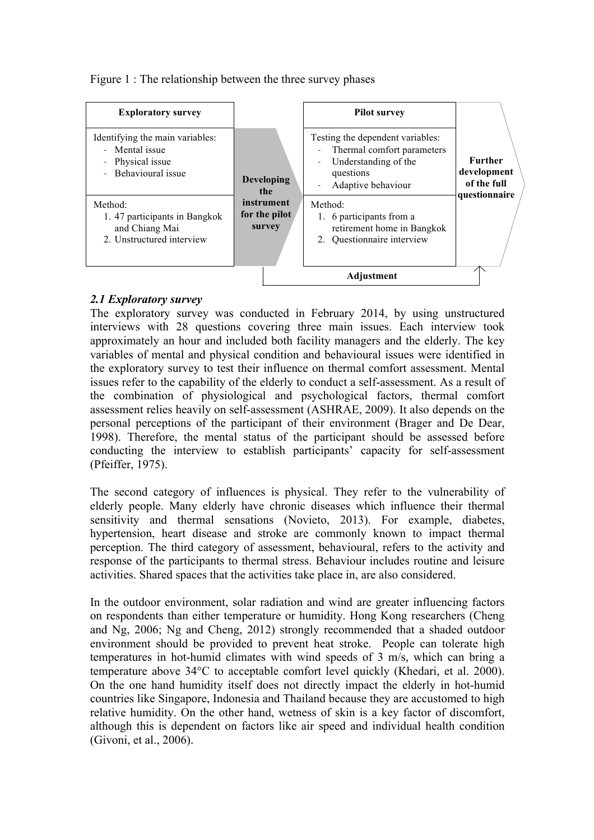Figure 1 : The relationship between the three survey phases

| <b>Exploratory survey</b><br>Identifying the main variables:<br>- Mental issue<br>Physical issue<br>÷<br>Behavioural issue<br>$\overline{a}$<br>Method:<br>1.47 participants in Bangkok<br>and Chiang Mai | <b>Developing</b><br>the<br>instrument<br>for the pilot<br>survey | <b>Pilot survey</b><br>Testing the dependent variables:<br>Thermal comfort parameters<br>Understanding of the<br>questions<br>Adaptive behaviour<br>Method:<br>1. 6 participants from a<br>retirement home in Bangkok | <b>Further</b><br>development<br>of the full<br>questionnaire |
|-----------------------------------------------------------------------------------------------------------------------------------------------------------------------------------------------------------|-------------------------------------------------------------------|-----------------------------------------------------------------------------------------------------------------------------------------------------------------------------------------------------------------------|---------------------------------------------------------------|
| 2. Unstructured interview                                                                                                                                                                                 |                                                                   | 2. Questionnaire interview                                                                                                                                                                                            |                                                               |
|                                                                                                                                                                                                           |                                                                   |                                                                                                                                                                                                                       |                                                               |

# *2.1 Exploratory survey*

The exploratory survey was conducted in February 2014, by using unstructured interviews with 28 questions covering three main issues. Each interview took approximately an hour and included both facility managers and the elderly. The key variables of mental and physical condition and behavioural issues were identified in the exploratory survey to test their influence on thermal comfort assessment. Mental issues refer to the capability of the elderly to conduct a self-assessment. As a result of the combination of physiological and psychological factors, thermal comfort assessment relies heavily on self-assessment (ASHRAE, 2009). It also depends on the personal perceptions of the participant of their environment (Brager and De Dear, 1998). Therefore, the mental status of the participant should be assessed before conducting the interview to establish participants' capacity for self-assessment (Pfeiffer, 1975).

The second category of influences is physical. They refer to the vulnerability of elderly people. Many elderly have chronic diseases which influence their thermal sensitivity and thermal sensations (Novieto, 2013). For example, diabetes, hypertension, heart disease and stroke are commonly known to impact thermal perception. The third category of assessment, behavioural, refers to the activity and response of the participants to thermal stress. Behaviour includes routine and leisure activities. Shared spaces that the activities take place in, are also considered.

In the outdoor environment, solar radiation and wind are greater influencing factors on respondents than either temperature or humidity. Hong Kong researchers (Cheng and Ng, 2006; Ng and Cheng, 2012) strongly recommended that a shaded outdoor environment should be provided to prevent heat stroke. People can tolerate high temperatures in hot-humid climates with wind speeds of 3 m/s, which can bring a temperature above 34°C to acceptable comfort level quickly (Khedari, et al. 2000). On the one hand humidity itself does not directly impact the elderly in hot-humid countries like Singapore, Indonesia and Thailand because they are accustomed to high relative humidity. On the other hand, wetness of skin is a key factor of discomfort, although this is dependent on factors like air speed and individual health condition (Givoni, et al., 2006).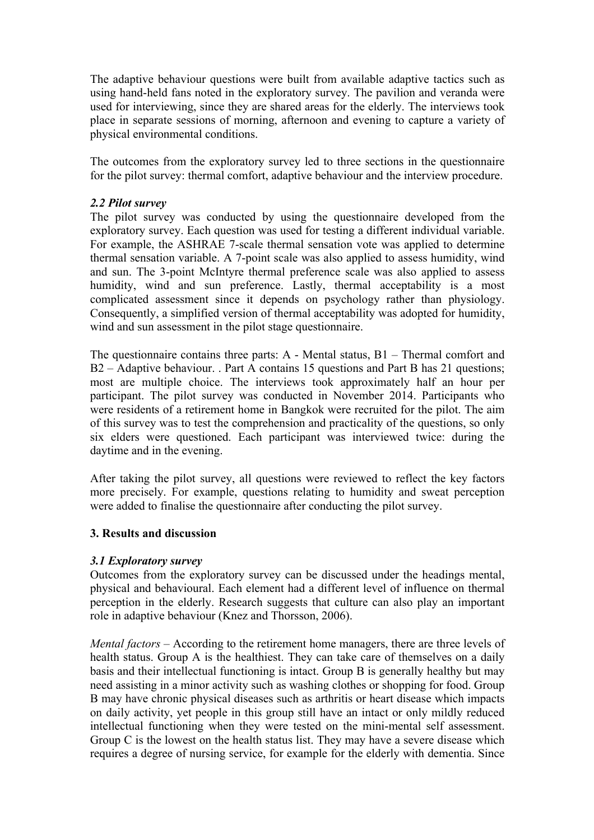The adaptive behaviour questions were built from available adaptive tactics such as using hand-held fans noted in the exploratory survey. The pavilion and veranda were used for interviewing, since they are shared areas for the elderly. The interviews took place in separate sessions of morning, afternoon and evening to capture a variety of physical environmental conditions.

The outcomes from the exploratory survey led to three sections in the questionnaire for the pilot survey: thermal comfort, adaptive behaviour and the interview procedure.

## *2.2 Pilot survey*

The pilot survey was conducted by using the questionnaire developed from the exploratory survey. Each question was used for testing a different individual variable. For example, the ASHRAE 7-scale thermal sensation vote was applied to determine thermal sensation variable. A 7-point scale was also applied to assess humidity, wind and sun. The 3-point McIntyre thermal preference scale was also applied to assess humidity, wind and sun preference. Lastly, thermal acceptability is a most complicated assessment since it depends on psychology rather than physiology. Consequently, a simplified version of thermal acceptability was adopted for humidity, wind and sun assessment in the pilot stage questionnaire.

The questionnaire contains three parts: A - Mental status, B1 – Thermal comfort and B2 – Adaptive behaviour. . Part A contains 15 questions and Part B has 21 questions; most are multiple choice. The interviews took approximately half an hour per participant. The pilot survey was conducted in November 2014. Participants who were residents of a retirement home in Bangkok were recruited for the pilot. The aim of this survey was to test the comprehension and practicality of the questions, so only six elders were questioned. Each participant was interviewed twice: during the daytime and in the evening.

After taking the pilot survey, all questions were reviewed to reflect the key factors more precisely. For example, questions relating to humidity and sweat perception were added to finalise the questionnaire after conducting the pilot survey.

### **3. Results and discussion**

### *3.1 Exploratory survey*

Outcomes from the exploratory survey can be discussed under the headings mental, physical and behavioural. Each element had a different level of influence on thermal perception in the elderly. Research suggests that culture can also play an important role in adaptive behaviour (Knez and Thorsson, 2006).

*Mental factors* – According to the retirement home managers, there are three levels of health status. Group A is the healthiest. They can take care of themselves on a daily basis and their intellectual functioning is intact. Group B is generally healthy but may need assisting in a minor activity such as washing clothes or shopping for food. Group B may have chronic physical diseases such as arthritis or heart disease which impacts on daily activity, yet people in this group still have an intact or only mildly reduced intellectual functioning when they were tested on the mini-mental self assessment. Group C is the lowest on the health status list. They may have a severe disease which requires a degree of nursing service, for example for the elderly with dementia. Since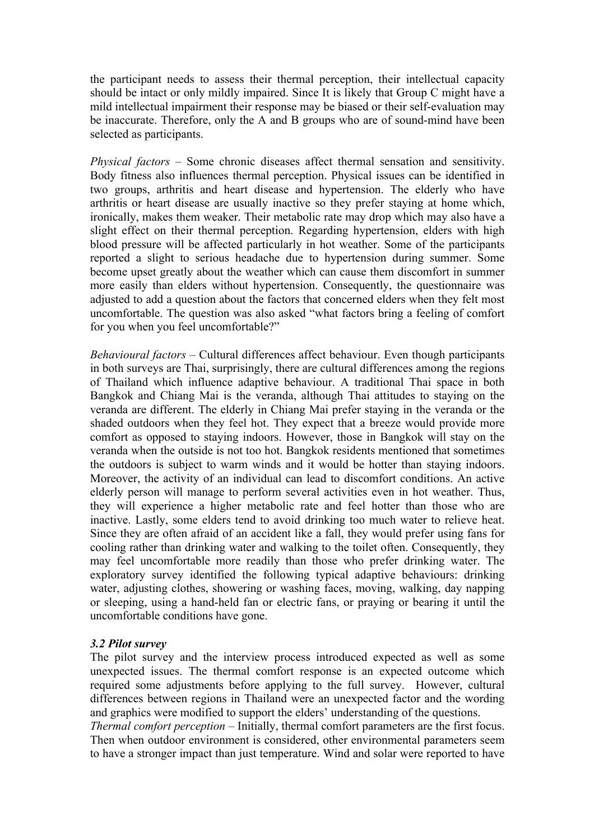the participant needs to assess their thermal perception, their intellectual capacity should be intact or only mildly impaired. Since It is likely that Group C might have a mild intellectual impairment their response may be biased or their self-evaluation may be inaccurate. Therefore, only the A and B groups who are of sound-mind have been selected as participants.

*Physical factors* – Some chronic diseases affect thermal sensation and sensitivity. Body fitness also influences thermal perception. Physical issues can be identified in two groups, arthritis and heart disease and hypertension. The elderly who have arthritis or heart disease are usually inactive so they prefer staying at home which, ironically, makes them weaker. Their metabolic rate may drop which may also have a slight effect on their thermal perception. Regarding hypertension, elders with high blood pressure will be affected particularly in hot weather. Some of the participants reported a slight to serious headache due to hypertension during summer. Some become upset greatly about the weather which can cause them discomfort in summer more easily than elders without hypertension. Consequently, the questionnaire was adjusted to add a question about the factors that concerned elders when they felt most uncomfortable. The question was also asked "what factors bring a feeling of comfort for you when you feel uncomfortable?"

*Behavioural factors* – Cultural differences affect behaviour. Even though participants in both surveys are Thai, surprisingly, there are cultural differences among the regions of Thailand which influence adaptive behaviour. A traditional Thai space in both Bangkok and Chiang Mai is the veranda, although Thai attitudes to staying on the veranda are different. The elderly in Chiang Mai prefer staying in the veranda or the shaded outdoors when they feel hot. They expect that a breeze would provide more comfort as opposed to staying indoors. However, those in Bangkok will stay on the veranda when the outside is not too hot. Bangkok residents mentioned that sometimes the outdoors is subject to warm winds and it would be hotter than staying indoors. Moreover, the activity of an individual can lead to discomfort conditions. An active elderly person will manage to perform several activities even in hot weather. Thus, they will experience a higher metabolic rate and feel hotter than those who are inactive. Lastly, some elders tend to avoid drinking too much water to relieve heat. Since they are often afraid of an accident like a fall, they would prefer using fans for cooling rather than drinking water and walking to the toilet often. Consequently, they may feel uncomfortable more readily than those who prefer drinking water. The exploratory survey identified the following typical adaptive behaviours: drinking water, adjusting clothes, showering or washing faces, moving, walking, day napping or sleeping, using a hand-held fan or electric fans, or praying or bearing it until the uncomfortable conditions have gone.

# *3.2 Pilot survey*

The pilot survey and the interview process introduced expected as well as some unexpected issues. The thermal comfort response is an expected outcome which required some adjustments before applying to the full survey. However, cultural differences between regions in Thailand were an unexpected factor and the wording and graphics were modified to support the elders' understanding of the questions.

*Thermal comfort perception* – Initially, thermal comfort parameters are the first focus. Then when outdoor environment is considered, other environmental parameters seem to have a stronger impact than just temperature. Wind and solar were reported to have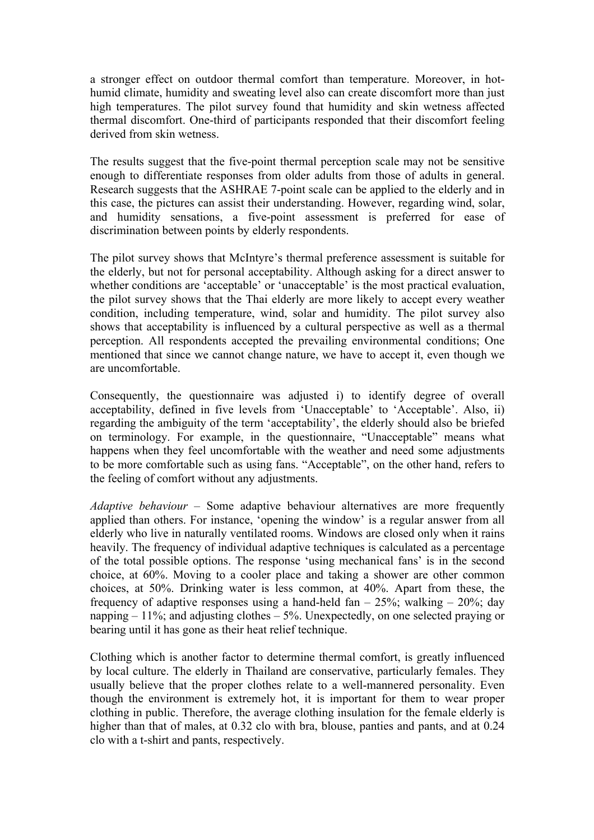a stronger effect on outdoor thermal comfort than temperature. Moreover, in hothumid climate, humidity and sweating level also can create discomfort more than just high temperatures. The pilot survey found that humidity and skin wetness affected thermal discomfort. One-third of participants responded that their discomfort feeling derived from skin wetness.

The results suggest that the five-point thermal perception scale may not be sensitive enough to differentiate responses from older adults from those of adults in general. Research suggests that the ASHRAE 7-point scale can be applied to the elderly and in this case, the pictures can assist their understanding. However, regarding wind, solar, and humidity sensations, a five-point assessment is preferred for ease of discrimination between points by elderly respondents.

The pilot survey shows that McIntyre's thermal preference assessment is suitable for the elderly, but not for personal acceptability. Although asking for a direct answer to whether conditions are 'acceptable' or 'unacceptable' is the most practical evaluation, the pilot survey shows that the Thai elderly are more likely to accept every weather condition, including temperature, wind, solar and humidity. The pilot survey also shows that acceptability is influenced by a cultural perspective as well as a thermal perception. All respondents accepted the prevailing environmental conditions; One mentioned that since we cannot change nature, we have to accept it, even though we are uncomfortable.

Consequently, the questionnaire was adjusted i) to identify degree of overall acceptability, defined in five levels from 'Unacceptable' to 'Acceptable'. Also, ii) regarding the ambiguity of the term 'acceptability', the elderly should also be briefed on terminology. For example, in the questionnaire, "Unacceptable" means what happens when they feel uncomfortable with the weather and need some adjustments to be more comfortable such as using fans. "Acceptable", on the other hand, refers to the feeling of comfort without any adjustments.

*Adaptive behaviour* – Some adaptive behaviour alternatives are more frequently applied than others. For instance, 'opening the window' is a regular answer from all elderly who live in naturally ventilated rooms. Windows are closed only when it rains heavily. The frequency of individual adaptive techniques is calculated as a percentage of the total possible options. The response 'using mechanical fans' is in the second choice, at 60%. Moving to a cooler place and taking a shower are other common choices, at 50%. Drinking water is less common, at 40%. Apart from these, the frequency of adaptive responses using a hand-held fan  $-25\%$ ; walking  $-20\%$ ; day napping  $-11\%$ ; and adjusting clothes  $-5\%$ . Unexpectedly, on one selected praying or bearing until it has gone as their heat relief technique.

Clothing which is another factor to determine thermal comfort, is greatly influenced by local culture. The elderly in Thailand are conservative, particularly females. They usually believe that the proper clothes relate to a well-mannered personality. Even though the environment is extremely hot, it is important for them to wear proper clothing in public. Therefore, the average clothing insulation for the female elderly is higher than that of males, at 0.32 clo with bra, blouse, panties and pants, and at 0.24 clo with a t-shirt and pants, respectively.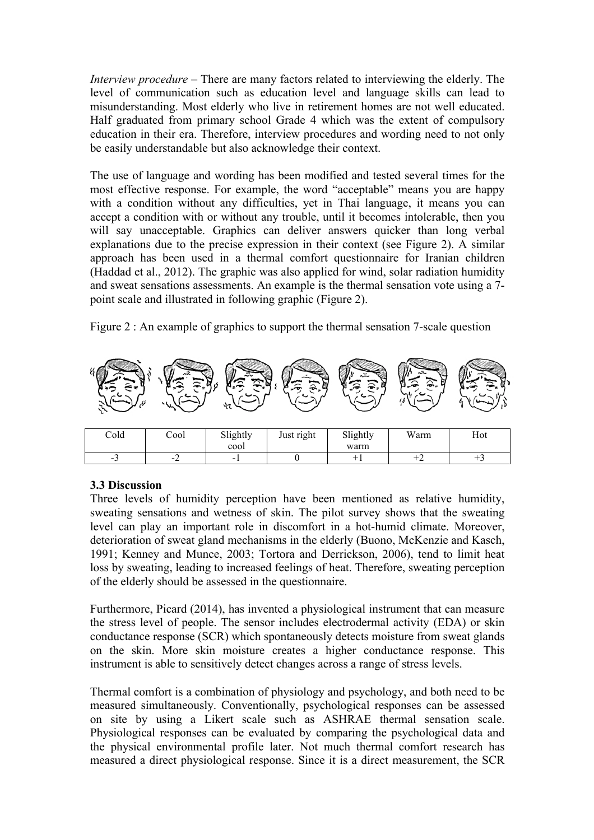*Interview procedure* – There are many factors related to interviewing the elderly. The level of communication such as education level and language skills can lead to misunderstanding. Most elderly who live in retirement homes are not well educated. Half graduated from primary school Grade 4 which was the extent of compulsory education in their era. Therefore, interview procedures and wording need to not only be easily understandable but also acknowledge their context.

The use of language and wording has been modified and tested several times for the most effective response. For example, the word "acceptable" means you are happy with a condition without any difficulties, yet in Thai language, it means you can accept a condition with or without any trouble, until it becomes intolerable, then you will say unacceptable. Graphics can deliver answers quicker than long verbal explanations due to the precise expression in their context (see Figure 2). A similar approach has been used in a thermal comfort questionnaire for Iranian children (Haddad et al., 2012). The graphic was also applied for wind, solar radiation humidity and sweat sensations assessments. An example is the thermal sensation vote using a 7 point scale and illustrated in following graphic (Figure 2).

Figure 2 : An example of graphics to support the thermal sensation 7-scale question



| Cold | Cool                       | Slightly<br>cool | Just right | Slightly<br>warm | Warm   | <b>TT</b><br>Hot |
|------|----------------------------|------------------|------------|------------------|--------|------------------|
| - 1  | $\overline{ }$<br>. .<br>- | -                |            |                  | $\div$ |                  |
|      |                            |                  |            |                  |        |                  |

# **3.3 Discussion**

Three levels of humidity perception have been mentioned as relative humidity, sweating sensations and wetness of skin. The pilot survey shows that the sweating level can play an important role in discomfort in a hot-humid climate. Moreover, deterioration of sweat gland mechanisms in the elderly (Buono, McKenzie and Kasch, 1991; Kenney and Munce, 2003; Tortora and Derrickson, 2006), tend to limit heat loss by sweating, leading to increased feelings of heat. Therefore, sweating perception of the elderly should be assessed in the questionnaire.

Furthermore, Picard (2014), has invented a physiological instrument that can measure the stress level of people. The sensor includes electrodermal activity (EDA) or skin conductance response (SCR) which spontaneously detects moisture from sweat glands on the skin. More skin moisture creates a higher conductance response. This instrument is able to sensitively detect changes across a range of stress levels.

Thermal comfort is a combination of physiology and psychology, and both need to be measured simultaneously. Conventionally, psychological responses can be assessed on site by using a Likert scale such as ASHRAE thermal sensation scale. Physiological responses can be evaluated by comparing the psychological data and the physical environmental profile later. Not much thermal comfort research has measured a direct physiological response. Since it is a direct measurement, the SCR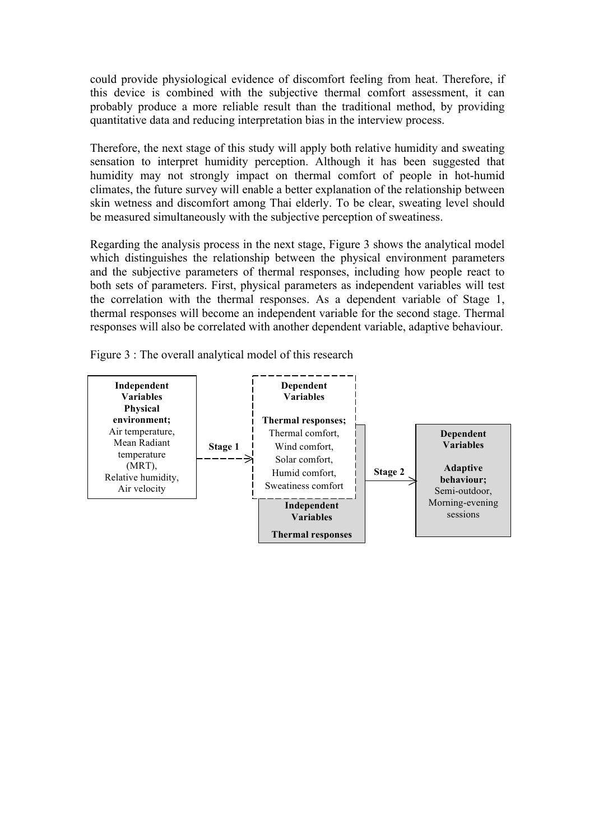could provide physiological evidence of discomfort feeling from heat. Therefore, if this device is combined with the subjective thermal comfort assessment, it can probably produce a more reliable result than the traditional method, by providing quantitative data and reducing interpretation bias in the interview process.

Therefore, the next stage of this study will apply both relative humidity and sweating sensation to interpret humidity perception. Although it has been suggested that humidity may not strongly impact on thermal comfort of people in hot-humid climates, the future survey will enable a better explanation of the relationship between skin wetness and discomfort among Thai elderly. To be clear, sweating level should be measured simultaneously with the subjective perception of sweatiness.

Regarding the analysis process in the next stage, Figure 3 shows the analytical model which distinguishes the relationship between the physical environment parameters and the subjective parameters of thermal responses, including how people react to both sets of parameters. First, physical parameters as independent variables will test the correlation with the thermal responses. As a dependent variable of Stage 1, thermal responses will become an independent variable for the second stage. Thermal responses will also be correlated with another dependent variable, adaptive behaviour.

Figure 3 : The overall analytical model of this research

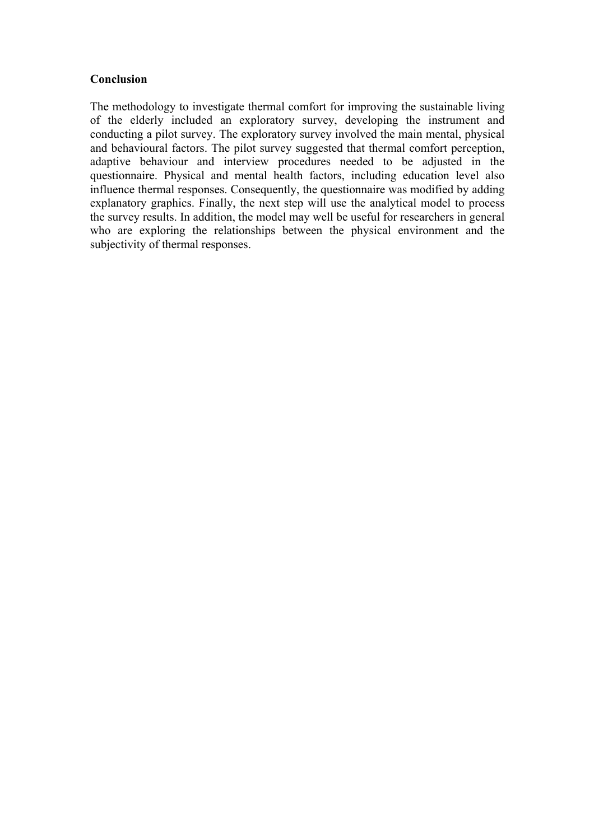## **Conclusion**

The methodology to investigate thermal comfort for improving the sustainable living of the elderly included an exploratory survey, developing the instrument and conducting a pilot survey. The exploratory survey involved the main mental, physical and behavioural factors. The pilot survey suggested that thermal comfort perception, adaptive behaviour and interview procedures needed to be adjusted in the questionnaire. Physical and mental health factors, including education level also influence thermal responses. Consequently, the questionnaire was modified by adding explanatory graphics. Finally, the next step will use the analytical model to process the survey results. In addition, the model may well be useful for researchers in general who are exploring the relationships between the physical environment and the subjectivity of thermal responses.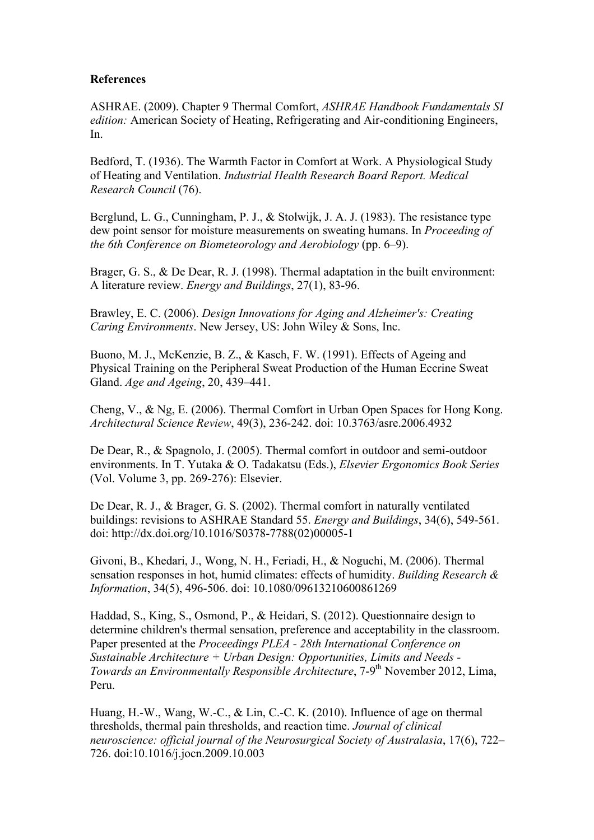### **References**

ASHRAE. (2009). Chapter 9 Thermal Comfort, *ASHRAE Handbook Fundamentals SI edition:* American Society of Heating, Refrigerating and Air-conditioning Engineers, In.

Bedford, T. (1936). The Warmth Factor in Comfort at Work. A Physiological Study of Heating and Ventilation. *Industrial Health Research Board Report. Medical Research Council* (76).

Berglund, L. G., Cunningham, P. J., & Stolwijk, J. A. J. (1983). The resistance type dew point sensor for moisture measurements on sweating humans. In *Proceeding of the 6th Conference on Biometeorology and Aerobiology* (pp. 6–9).

Brager, G. S., & De Dear, R. J. (1998). Thermal adaptation in the built environment: A literature review. *Energy and Buildings*, 27(1), 83-96.

Brawley, E. C. (2006). *Design Innovations for Aging and Alzheimer's: Creating Caring Environments*. New Jersey, US: John Wiley & Sons, Inc.

Buono, M. J., McKenzie, B. Z., & Kasch, F. W. (1991). Effects of Ageing and Physical Training on the Peripheral Sweat Production of the Human Eccrine Sweat Gland. *Age and Ageing*, 20, 439–441.

Cheng, V., & Ng, E. (2006). Thermal Comfort in Urban Open Spaces for Hong Kong. *Architectural Science Review*, 49(3), 236-242. doi: 10.3763/asre.2006.4932

De Dear, R., & Spagnolo, J. (2005). Thermal comfort in outdoor and semi-outdoor environments. In T. Yutaka & O. Tadakatsu (Eds.), *Elsevier Ergonomics Book Series* (Vol. Volume 3, pp. 269-276): Elsevier.

De Dear, R. J., & Brager, G. S. (2002). Thermal comfort in naturally ventilated buildings: revisions to ASHRAE Standard 55. *Energy and Buildings*, 34(6), 549-561. doi: http://dx.doi.org/10.1016/S0378-7788(02)00005-1

Givoni, B., Khedari, J., Wong, N. H., Feriadi, H., & Noguchi, M. (2006). Thermal sensation responses in hot, humid climates: effects of humidity. *Building Research & Information*, 34(5), 496-506. doi: 10.1080/09613210600861269

Haddad, S., King, S., Osmond, P., & Heidari, S. (2012). Questionnaire design to determine children's thermal sensation, preference and acceptability in the classroom. Paper presented at the *Proceedings PLEA - 28th International Conference on Sustainable Architecture + Urban Design: Opportunities, Limits and Needs - Towards an Environmentally Responsible Architecture*, 7-9<sup>th</sup> November 2012, Lima, Peru.

Huang, H.-W., Wang, W.-C., & Lin, C.-C. K. (2010). Influence of age on thermal thresholds, thermal pain thresholds, and reaction time. *Journal of clinical neuroscience: official journal of the Neurosurgical Society of Australasia*, 17(6), 722– 726. doi:10.1016/j.jocn.2009.10.003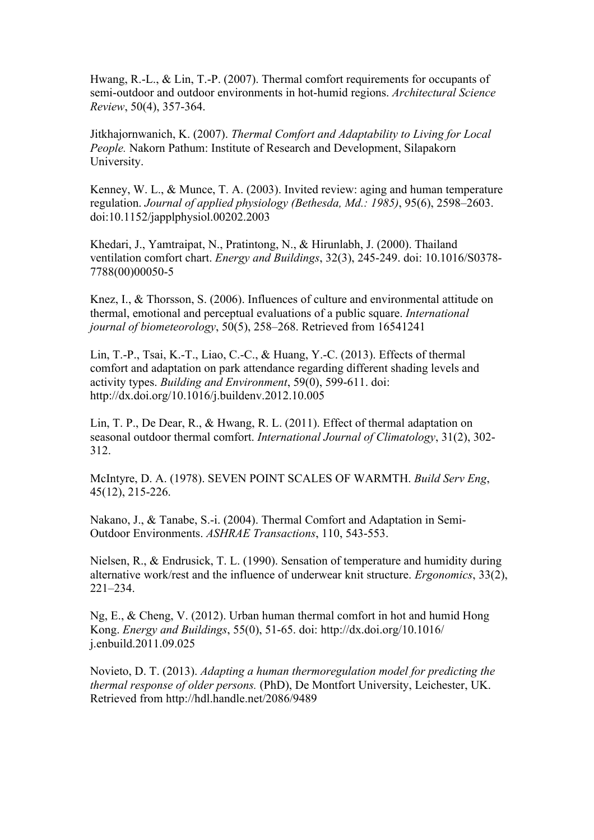Hwang, R.-L., & Lin, T.-P. (2007). Thermal comfort requirements for occupants of semi-outdoor and outdoor environments in hot-humid regions. *Architectural Science Review*, 50(4), 357-364.

Jitkhajornwanich, K. (2007). *Thermal Comfort and Adaptability to Living for Local People.* Nakorn Pathum: Institute of Research and Development, Silapakorn University.

Kenney, W. L., & Munce, T. A. (2003). Invited review: aging and human temperature regulation. *Journal of applied physiology (Bethesda, Md.: 1985)*, 95(6), 2598–2603. doi:10.1152/japplphysiol.00202.2003

Khedari, J., Yamtraipat, N., Pratintong, N., & Hirunlabh, J. (2000). Thailand ventilation comfort chart. *Energy and Buildings*, 32(3), 245-249. doi: 10.1016/S0378- 7788(00)00050-5

Knez, I., & Thorsson, S. (2006). Influences of culture and environmental attitude on thermal, emotional and perceptual evaluations of a public square. *International journal of biometeorology*, 50(5), 258–268. Retrieved from 16541241

Lin, T.-P., Tsai, K.-T., Liao, C.-C., & Huang, Y.-C. (2013). Effects of thermal comfort and adaptation on park attendance regarding different shading levels and activity types. *Building and Environment*, 59(0), 599-611. doi: http://dx.doi.org/10.1016/j.buildenv.2012.10.005

Lin, T. P., De Dear, R., & Hwang, R. L. (2011). Effect of thermal adaptation on seasonal outdoor thermal comfort. *International Journal of Climatology*, 31(2), 302- 312.

McIntyre, D. A. (1978). SEVEN POINT SCALES OF WARMTH. *Build Serv Eng*, 45(12), 215-226.

Nakano, J., & Tanabe, S.-i. (2004). Thermal Comfort and Adaptation in Semi-Outdoor Environments. *ASHRAE Transactions*, 110, 543-553.

Nielsen, R., & Endrusick, T. L. (1990). Sensation of temperature and humidity during alternative work/rest and the influence of underwear knit structure. *Ergonomics*, 33(2), 221–234.

Ng, E., & Cheng, V. (2012). Urban human thermal comfort in hot and humid Hong Kong. *Energy and Buildings*, 55(0), 51-65. doi: http://dx.doi.org/10.1016/ j.enbuild.2011.09.025

Novieto, D. T. (2013). *Adapting a human thermoregulation model for predicting the thermal response of older persons.* (PhD), De Montfort University, Leichester, UK. Retrieved from http://hdl.handle.net/2086/9489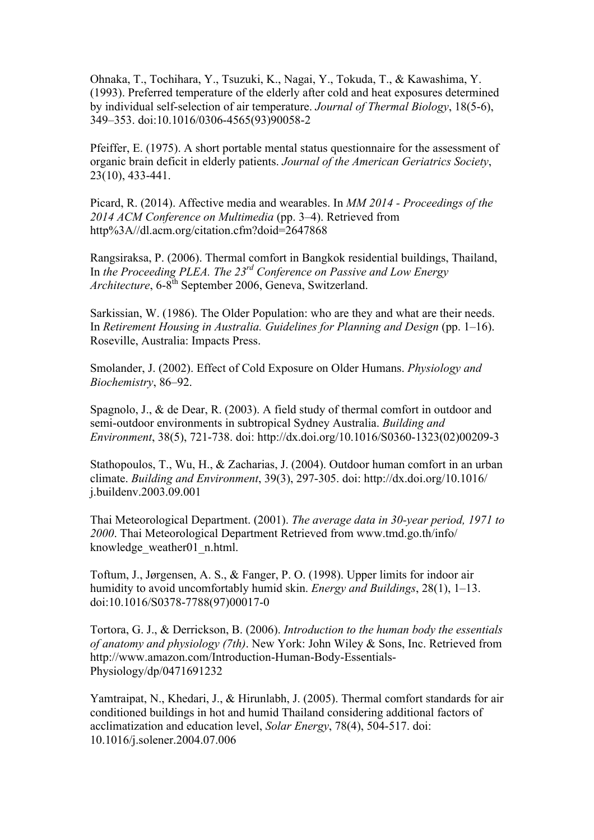Ohnaka, T., Tochihara, Y., Tsuzuki, K., Nagai, Y., Tokuda, T., & Kawashima, Y. (1993). Preferred temperature of the elderly after cold and heat exposures determined by individual self-selection of air temperature. *Journal of Thermal Biology*, 18(5-6), 349–353. doi:10.1016/0306-4565(93)90058-2

Pfeiffer, E. (1975). A short portable mental status questionnaire for the assessment of organic brain deficit in elderly patients. *Journal of the American Geriatrics Society*, 23(10), 433-441.

Picard, R. (2014). Affective media and wearables. In *MM 2014 - Proceedings of the 2014 ACM Conference on Multimedia* (pp. 3–4). Retrieved from http%3A//dl.acm.org/citation.cfm?doid=2647868

Rangsiraksa, P. (2006). Thermal comfort in Bangkok residential buildings, Thailand, In *the Proceeding PLEA. The 23rd Conference on Passive and Low Energy Architecture*, 6-8<sup>th</sup> September 2006, Geneva, Switzerland.

Sarkissian, W. (1986). The Older Population: who are they and what are their needs. In *Retirement Housing in Australia. Guidelines for Planning and Design* (pp. 1–16). Roseville, Australia: Impacts Press.

Smolander, J. (2002). Effect of Cold Exposure on Older Humans. *Physiology and Biochemistry*, 86–92.

Spagnolo, J., & de Dear, R. (2003). A field study of thermal comfort in outdoor and semi-outdoor environments in subtropical Sydney Australia. *Building and Environment*, 38(5), 721-738. doi: http://dx.doi.org/10.1016/S0360-1323(02)00209-3

Stathopoulos, T., Wu, H., & Zacharias, J. (2004). Outdoor human comfort in an urban climate. *Building and Environment*, 39(3), 297-305. doi: http://dx.doi.org/10.1016/ j.buildenv.2003.09.001

Thai Meteorological Department. (2001). *The average data in 30-year period, 1971 to 2000*. Thai Meteorological Department Retrieved from www.tmd.go.th/info/ knowledge\_weather01\_n.html.

Toftum, J., Jørgensen, A. S., & Fanger, P. O. (1998). Upper limits for indoor air humidity to avoid uncomfortably humid skin. *Energy and Buildings*, 28(1), 1–13. doi:10.1016/S0378-7788(97)00017-0

Tortora, G. J., & Derrickson, B. (2006). *Introduction to the human body the essentials of anatomy and physiology (7th)*. New York: John Wiley & Sons, Inc. Retrieved from http://www.amazon.com/Introduction-Human-Body-Essentials-Physiology/dp/0471691232

Yamtraipat, N., Khedari, J., & Hirunlabh, J. (2005). Thermal comfort standards for air conditioned buildings in hot and humid Thailand considering additional factors of acclimatization and education level, *Solar Energy*, 78(4), 504-517. doi: 10.1016/j.solener.2004.07.006